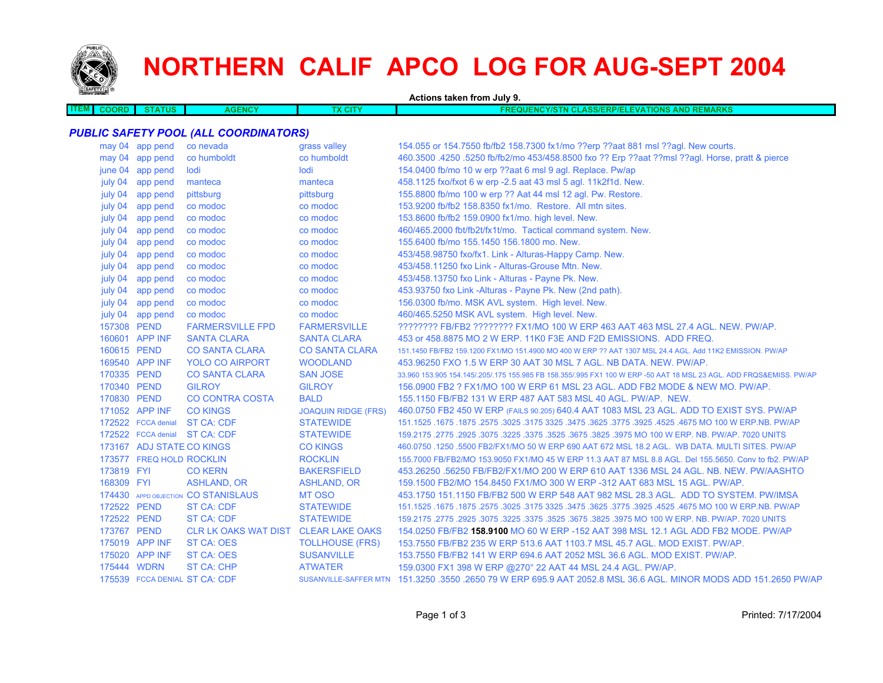

# **NORTHERN CALIF APCO LOG FOR AUG-SEPT 2004**

| Actions taken from July 9.  |                           |                                              |                            |                                                                                                                     |  |
|-----------------------------|---------------------------|----------------------------------------------|----------------------------|---------------------------------------------------------------------------------------------------------------------|--|
| <b>ITEM</b><br><b>COORD</b> | <b>STATUS</b>             | <b>AGENCY</b>                                | <b>TX CITY</b>             | <b>FREQUENCY/STN CLASS/ERP/ELEVATIONS AND REMARKS</b>                                                               |  |
|                             |                           |                                              |                            |                                                                                                                     |  |
|                             |                           | <b>PUBLIC SAFETY POOL (ALL COORDINATORS)</b> |                            |                                                                                                                     |  |
|                             | may 04 app pend           | co nevada                                    | grass valley               | 154.055 or 154.7550 fb/fb2 158.7300 fx1/mo ??erp ??aat 881 msl ??agl. New courts.                                   |  |
|                             | may 04 app pend           | co humboldt                                  | co humboldt                | 460.3500 .4250 .5250 fb/fb2/mo 453/458.8500 fxo ?? Erp ??aat ??msl ??agl. Horse, pratt & pierce                     |  |
|                             | june 04 app pend          | lodi                                         | lodi                       | 154.0400 fb/mo 10 w erp ??aat 6 msl 9 agl. Replace. Pw/ap                                                           |  |
| july 04                     | app pend                  | manteca                                      | manteca                    | 458.1125 fxo/fxot 6 w erp -2.5 aat 43 msl 5 agl. 11k2f1d. New.                                                      |  |
|                             | july 04 app pend          | pittsburg                                    | pittsburg                  | 155.8800 fb/mo 100 w erp ?? Aat 44 msl 12 agl. Pw. Restore.                                                         |  |
|                             | july 04 app pend          | co modoc                                     | co modoc                   | 153.9200 fb/fb2 158.8350 fx1/mo. Restore. All mtn sites.                                                            |  |
|                             | july 04 app pend          | co modoc                                     | co modoc                   | 153.8600 fb/fb2 159.0900 fx1/mo. high level. New.                                                                   |  |
|                             | july 04 app pend          | co modoc                                     | co modoc                   | 460/465.2000 fbt/fb2t/fx1t/mo. Tactical command system. New.                                                        |  |
|                             | july 04 app pend          | co modoc                                     | co modoc                   | 155.6400 fb/mo 155.1450 156.1800 mo. New.                                                                           |  |
|                             | july 04 app pend          | co modoc                                     | co modoc                   | 453/458.98750 fxo/fx1. Link - Alturas-Happy Camp. New.                                                              |  |
|                             | july 04 app pend          | co modoc                                     | co modoc                   | 453/458.11250 fxo Link - Alturas-Grouse Mtn. New.                                                                   |  |
|                             | july 04 app pend          | co modoc                                     | co modoc                   | 453/458.13750 fxo Link - Alturas - Payne Pk. New.                                                                   |  |
|                             | july 04 app pend          | co modoc                                     | co modoc                   | 453.93750 fxo Link -Alturas - Payne Pk. New (2nd path).                                                             |  |
|                             | july 04 app pend          | co modoc                                     | co modoc                   | 156.0300 fb/mo. MSK AVL system. High level. New.                                                                    |  |
|                             | july 04 app pend          | co modoc                                     | co modoc                   | 460/465.5250 MSK AVL system. High level. New.                                                                       |  |
| 157308 PEND                 |                           | <b>FARMERSVILLE FPD</b>                      | <b>FARMERSVILLE</b>        | ???????? FB/FB2 ???????? FX1/MO 100 W ERP 463 AAT 463 MSL 27.4 AGL. NEW. PW/AP.                                     |  |
|                             | 160601 APP INF            | <b>SANTA CLARA</b>                           | <b>SANTA CLARA</b>         | 453 or 458,8875 MO 2 W ERP, 11K0 F3E AND F2D EMISSIONS. ADD FREQ.                                                   |  |
| 160615 PEND                 |                           | <b>CO SANTA CLARA</b>                        | <b>CO SANTA CLARA</b>      | 151.1450 FB/FB2 159.1200 FX1/MO 151.4900 MO 400 W ERP ?? AAT 1307 MSL 24.4 AGL. Add 11K2 EMISSION. PW/AP            |  |
|                             | 169540 APP INF            | <b>YOLO CO AIRPORT</b>                       | <b>WOODLAND</b>            | 453,96250 FXO 1.5 W ERP 30 AAT 30 MSL 7 AGL, NB DATA, NEW, PW/AP.                                                   |  |
| 170335 PEND                 |                           | <b>CO SANTA CLARA</b>                        | <b>SAN JOSE</b>            | 33.960 153.905 154.145/.205/.175 155.985 FB 158.355/.995 FX1 100 W ERP -50 AAT 18 MSL 23 AGL. ADD FRQS&EMISS. PW/AP |  |
| 170340 PEND                 |                           | <b>GILROY</b>                                | <b>GILROY</b>              | 156.0900 FB2 ? FX1/MO 100 W ERP 61 MSL 23 AGL. ADD FB2 MODE & NEW MO. PW/AP.                                        |  |
| 170830 PEND                 |                           | <b>CO CONTRA COSTA</b>                       | <b>BALD</b>                | 155,1150 FB/FB2 131 W ERP 487 AAT 583 MSL 40 AGL, PW/AP, NEW.                                                       |  |
|                             | 171052 APP INF            | <b>CO KINGS</b>                              | <b>JOAQUIN RIDGE (FRS)</b> | 460.0750 FB2 450 W ERP (FAILS 90.205) 640.4 AAT 1083 MSL 23 AGL. ADD TO EXIST SYS. PW/AP                            |  |
|                             | 172522 FCCA denial        | ST CA: CDF                                   | <b>STATEWIDE</b>           | 151.1525 .1675 .1675 .3025 .3475 .3625 .3775 .3625 .3625 .3625 .3475 .3625 .3775 .1675 .1675 .1675 .                |  |
|                             |                           | 172522 FCCA denial ST CA: CDF                | <b>STATEWIDE</b>           | 159.2175 .2775 .2925 .3075 .3225 .3675 .3825 .3975 MO 100 W ERP. NB. PW/AP. 7020 UNITS                              |  |
|                             | 173167 ADJ STATE CO KINGS |                                              | <b>CO KINGS</b>            | 460.0750 .1250 .5500 FB2/FX1/MO 50 W ERP 690 AAT 672 MSL 18.2 AGL. WB DATA. MULTI SITES. PW/AP                      |  |
|                             | 173577 FREQ HOLD ROCKLIN  |                                              | <b>ROCKLIN</b>             | 155,7000 FB/FB2/MO 153,9050 FX1/MO 45 W ERP 11.3 AAT 87 MSL 8.8 AGL, Del 155,5650, Conv to fb2, PW/AP               |  |
| 173819 FYI                  |                           | <b>CO KERN</b>                               | <b>BAKERSFIELD</b>         | 453.26250 .56250 FB/FB2/FX1/MO 200 W ERP 610 AAT 1336 MSL 24 AGL. NB. NEW. PW/AASHTO                                |  |
| 168309 FYI                  |                           | <b>ASHLAND, OR</b>                           | <b>ASHLAND, OR</b>         | 159.1500 FB2/MO 154.8450 FX1/MO 300 W ERP -312 AAT 683 MSL 15 AGL, PW/AP.                                           |  |
|                             |                           | 174430 APPD OBJECTION CO STANISLAUS          | MT OSO                     | 453.1750 151.1150 FB/FB2 500 W ERP 548 AAT 982 MSL 28.3 AGL. ADD TO SYSTEM. PW/IMSA                                 |  |
| 172522 PEND                 |                           | <b>ST CA: CDF</b>                            | <b>STATEWIDE</b>           | 151.1525 .1675 .1875 .3025 .3175 .3625 .3775 .3625 .3775 .3925 .3475 .3625 .3475 .1675 .1675 .1675 .1675 .1679      |  |
| 172522 PEND                 |                           | <b>ST CA: CDF</b>                            | <b>STATEWIDE</b>           | 159.2175 .2775 .2925 .3075 .3225 .3675 .3625 .3675 .3825 .3975 MO 100 W ERP. NB. PW/AP. 7020 UNITS                  |  |
| 173767 PEND                 |                           | CLR LK OAKS WAT DIST CLEAR LAKE OAKS         |                            | 154.0250 FB/FB2 158.9100 MO 60 W ERP -152 AAT 398 MSL 12.1 AGL ADD FB2 MODE. PW/AP                                  |  |
|                             | 175019 APP INF            | <b>ST CA: OES</b>                            | <b>TOLLHOUSE (FRS)</b>     | 153.7550 FB/FB2 235 W ERP 513.6 AAT 1103.7 MSL 45.7 AGL. MOD EXIST. PW/AP.                                          |  |
|                             | 175020 APP INF            | <b>ST CA: OES</b>                            | <b>SUSANVILLE</b>          | 153.7550 FB/FB2 141 W ERP 694.6 AAT 2052 MSL 36.6 AGL. MOD EXIST. PW/AP.                                            |  |
|                             | 175444 WDRN               | ST CA: CHP                                   | <b>ATWATER</b>             | 159.0300 FX1 398 W ERP @270° 22 AAT 44 MSL 24.4 AGL. PW/AP.                                                         |  |
|                             |                           | 175539 FCCA DENIAL ST CA: CDF                |                            | SUSANVILLE-SAFFER MTN 151.3250 .3550 .2650 79 W ERP 695.9 AAT 2052.8 MSL 36.6 AGL. MINOR MODS ADD 151.2650 PW/AP    |  |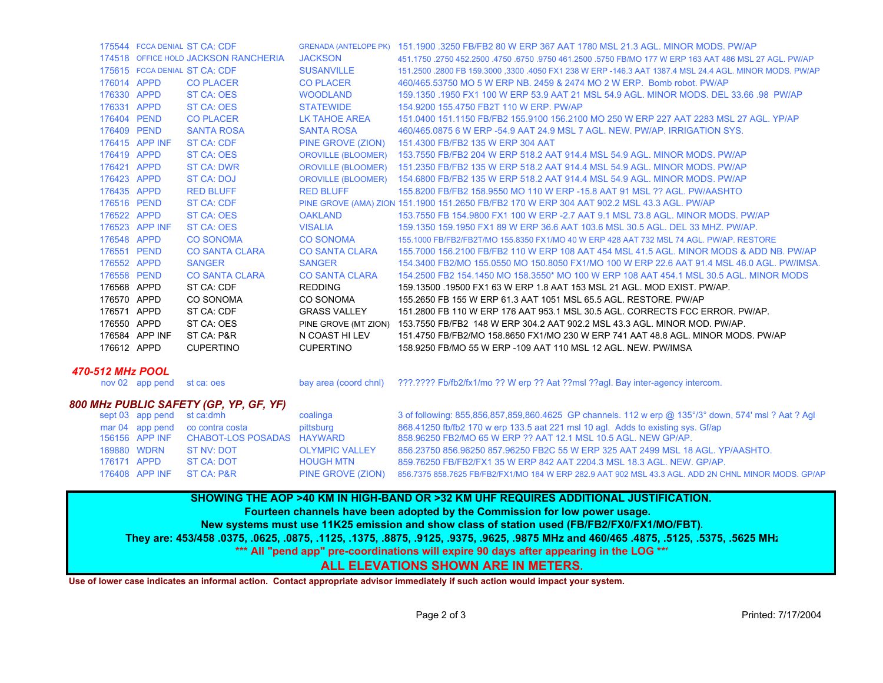|             |                | 175544 FCCA DENIAL ST CA: CDF        |                       | GRENADA (ANTELOPE PK) 151,1900,3250 FB/FB2 80 W ERP 367 AAT 1780 MSL 21.3 AGL, MINOR MODS, PW/AP       |
|-------------|----------------|--------------------------------------|-----------------------|--------------------------------------------------------------------------------------------------------|
|             |                | 174518 OFFICE HOLD JACKSON RANCHERIA | <b>JACKSON</b>        | 451.1750 .2750 452.2500 .4750 .6750 .9750 461.2500 .5750 FB/MO 177 W ERP 163 AAT 486 MSL 27 AGL. PW/AP |
|             |                | 175615 FCCA DENIAL ST CA: CDF        | <b>SUSANVILLE</b>     | 151.2500 .2800 FB 159.3000 .3300 .4050 FX1 238 W ERP -146.3 AAT 1387.4 MSL 24.4 AGL. MINOR MODS. PW/AP |
| 176014 APPD |                | <b>CO PLACER</b>                     | <b>CO PLACER</b>      | 460/465.53750 MO 5 W ERP NB, 2459 & 2474 MO 2 W ERP. Bomb robot, PW/AP                                 |
| 176330 APPD |                | ST CA: OES                           | <b>WOODLAND</b>       | 159.1350 .1950 FX1 100 W ERP 53.9 AAT 21 MSL 54.9 AGL. MINOR MODS. DEL 33.66 .98 PW/AP                 |
| 176331 APPD |                | ST CA: OES                           | <b>STATEWIDE</b>      | 154.9200 155.4750 FB2T 110 W ERP. PW/AP                                                                |
| 176404 PEND |                | <b>CO PLACER</b>                     | LK TAHOE AREA         | 151,0400 151,1150 FB/FB2 155,9100 156,2100 MO 250 W ERP 227 AAT 2283 MSL 27 AGL, YP/AP                 |
| 176409 PEND |                | <b>SANTA ROSA</b>                    | <b>SANTA ROSA</b>     | 460/465,0875 6 W ERP -54.9 AAT 24.9 MSL 7 AGL, NEW, PW/AP, IRRIGATION SYS.                             |
|             | 176415 APP INF | <b>ST CA: CDF</b>                    | PINE GROVE (ZION)     | 151.4300 FB/FB2 135 W ERP 304 AAT                                                                      |
| 176419 APPD |                | ST CA: OES                           |                       | OROVILLE (BLOOMER) 153.7550 FB/FB2 204 W ERP 518.2 AAT 914.4 MSL 54.9 AGL. MINOR MODS. PW/AP           |
| 176421 APPD |                | <b>ST CA: DWR</b>                    |                       | OROVILLE (BLOOMER) 151.2350 FB/FB2 135 W ERP 518.2 AAT 914.4 MSL 54.9 AGL. MINOR MODS. PW/AP           |
| 176423 APPD |                | ST CA: DOJ                           |                       | OROVILLE (BLOOMER) 154.6800 FB/FB2 135 W ERP 518.2 AAT 914.4 MSL 54.9 AGL, MINOR MODS, PW/AP           |
| 176435 APPD |                | <b>RED BLUFF</b>                     | <b>RED BLUFF</b>      | 155,8200 FB/FB2 158,9550 MO 110 W ERP -15.8 AAT 91 MSL ?? AGL. PW/AASHTO                               |
| 176516 PEND |                | <b>ST CA: CDF</b>                    |                       | PINE GROVE (AMA) ZION 151.1900 151.2650 FB/FB2 170 W ERP 304 AAT 902.2 MSL 43.3 AGL. PW/AP             |
| 176522 APPD |                | ST CA: OES                           | <b>OAKLAND</b>        | 153.7550 FB 154.9800 FX1 100 W ERP -2.7 AAT 9.1 MSL 73.8 AGL, MINOR MODS, PW/AP                        |
|             | 176523 APP INF | ST CA: OES                           | <b>VISALIA</b>        | 159.1350 159.1950 FX1 89 W ERP 36.6 AAT 103.6 MSL 30.5 AGL. DEL 33 MHZ. PW/AP.                         |
| 176548 APPD |                | <b>CO SONOMA</b>                     | <b>CO SONOMA</b>      | 155.1000 FB/FB2/FB2T/MO 155.8350 FX1/MO 40 W ERP 428 AAT 732 MSL 74 AGL, PW/AP, RESTORE                |
| 176551 PEND |                | <b>CO SANTA CLARA</b>                | CO SANTA CLARA        | 155,7000 156,2100 FB/FB2 110 W ERP 108 AAT 454 MSL 41.5 AGL, MINOR MODS & ADD NB, PW/AP                |
| 176552 APPD |                | <b>SANGER</b>                        | <b>SANGER</b>         | 154,3400 FB2/MO 155,0550 MO 150,8050 FX1/MO 100 W ERP 22.6 AAT 91.4 MSL 46.0 AGL, PW/IMSA,             |
| 176558 PEND |                | <b>CO SANTA CLARA</b>                | <b>CO SANTA CLARA</b> | 154,2500 FB2 154,1450 MO 158,3550* MO 100 W ERP 108 AAT 454,1 MSL 30.5 AGL. MINOR MODS                 |
| 176568 APPD |                | ST CA: CDF                           | <b>REDDING</b>        | 159.13500 .19500 FX1 63 W ERP 1.8 AAT 153 MSL 21 AGL. MOD EXIST. PW/AP.                                |
| 176570 APPD |                | CO SONOMA                            | CO SONOMA             | 155,2650 FB 155 W ERP 61.3 AAT 1051 MSL 65.5 AGL. RESTORE, PW/AP                                       |
| 176571      | APPD           | ST CA: CDF                           | <b>GRASS VALLEY</b>   | 151,2800 FB 110 W ERP 176 AAT 953.1 MSL 30.5 AGL, CORRECTS FCC ERROR, PW/AP.                           |
| 176550 APPD |                | ST CA: OES                           |                       | PINE GROVE (MT ZION) 153.7550 FB/FB2 148 W ERP 304.2 AAT 902.2 MSL 43.3 AGL. MINOR MOD. PW/AP.         |
|             | 176584 APP INF | ST CA: P&R                           | N COAST HI LEV        | 151.4750 FB/FB2/MO 158.8650 FX1/MO 230 W ERP 741 AAT 48.8 AGL. MINOR MODS, PW/AP                       |
| 176612 APPD |                | <b>CUPERTINO</b>                     | <b>CUPERTINO</b>      | 158,9250 FB/MO 55 W ERP -109 AAT 110 MSL 12 AGL. NEW. PW/IMSA                                          |
|             |                |                                      |                       |                                                                                                        |

#### *470-512 MHz POOL*

nov 02 app pend st ca: oes bay area (coord chnl) ???.???? Fb/fb2/fx1/mo ?? W erp ?? Aat ??msl ??agl. Bay inter-agency intercom.

### *800 MHz PUBLIC SAFETY (GP, YP, GF, YF)*

|             | sept 03 app pend st ca:dmh |                                           | coalinga              | 3 of following: 855,856,857,859,860.4625 GP channels. 112 w erp @ 135°/3° down, 574' msl ? Aat ? Agl |  |  |
|-------------|----------------------------|-------------------------------------------|-----------------------|------------------------------------------------------------------------------------------------------|--|--|
|             |                            | mar 04 app pend co contra costa           | pittsburg             | 868.41250 fb/fb2 170 w erp 133.5 aat 221 msl 10 agl. Adds to existing sys. Gf/ap                     |  |  |
|             |                            | 156156 APP INF CHABOT-LOS POSADAS HAYWARD |                       | 858.96250 FB2/MO 65 W ERP ?? AAT 12.1 MSL 10.5 AGL, NEW GP/AP.                                       |  |  |
|             | 169880 WDRN                | $ST$ NV: DOT                              | <b>OLYMPIC VALLEY</b> | 856.23750 856.96250 857.96250 FB2C 55 W ERP 325 AAT 2499 MSL 18 AGL, YP/AASHTO.                      |  |  |
| 176171 APPD |                            | ST CA: NOT                                | <b>HOUGH MTN</b>      | 859.76250 FB/FB2/FX1 35 W ERP 842 AAT 2204.3 MSL 18.3 AGL, NEW, GP/AP.                               |  |  |
|             |                            | 176408 APP INF ST CA: P&R                 | PINE GROVE (ZION)     | 856.7375 858.7625 FB/FB2/FX1/MO 184 W ERP 282.9 AAT 902 MSL 43.3 AGL, ADD 2N CHNL MINOR MODS, GP/AP  |  |  |
|             |                            |                                           |                       |                                                                                                      |  |  |

# **SHOWING THE AOP >40 KM IN HIGH-BAND OR >32 KM UHF REQUIRES ADDITIONAL JUSTIFICATION.**

## **Fourteen channels have been adopted by the Commission for low power usage.**

**New systems must use 11K25 emission and show class of station used (FB/FB2/FX0/FX1/MO/FBT).**

**They are: 453/458 .0375, .0625, .0875, .1125, .1375, .8875, .9125, .9375, .9625, .9875 MHz and 460/465 .4875, .5125, .5375, .5625 MHz**

**\*\*\* All "pend app" pre-coordinations will expire 90 days after appearing in the LOG \*\*\***

## **ALL ELEVATIONS SHOWN ARE IN METERS.**

**Use of lower case indicates an informal action. Contact appropriate advisor immediately if such action would impact your system.**